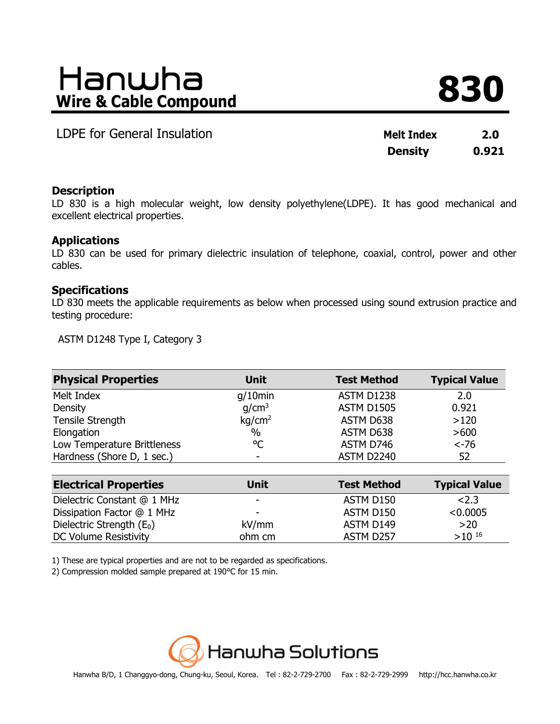# **Wire & Cable Compound 830**

**LDPE for General Insulation** 

| <b>Melt Index</b> | 2.0   |
|-------------------|-------|
| <b>Density</b>    | 0.921 |

# **Description**

LD 830 is a high molecular weight, low density polyethylene(LDPE). It has good mechanical and excellent electrical properties.

# **Applications**

LD 830 can be used for primary dielectric insulation of telephone, coaxial, control, power and other cables.

# **Specifications**

LD 830 meets the applicable requirements as below when processed using sound extrusion practice and testing procedure:

ASTM D1248 Type I, Category 3

| <b>Physical Properties</b>  | <b>Unit</b>              | <b>Test Method</b> | <b>Typical Value</b> |
|-----------------------------|--------------------------|--------------------|----------------------|
| Melt Index                  | $g/10$ min               | <b>ASTM D1238</b>  | 2.0                  |
| Density                     | q/cm <sup>3</sup>        | <b>ASTM D1505</b>  | 0.921                |
| Tensile Strength            | kq/cm <sup>2</sup>       | ASTM D638          | >120                 |
| Elongation                  | $\%$                     | ASTM D638          | >600                 |
| Low Temperature Brittleness | °C                       | ASTM D746          | $< -76$              |
| Hardness (Shore D, 1 sec.)  | $\overline{\phantom{0}}$ | ASTM D2240         | 52                   |

| <b>Electrical Properties</b> | <b>Unit</b>              | <b>Test Method</b> | <b>Typical Value</b> |
|------------------------------|--------------------------|--------------------|----------------------|
| Dielectric Constant @ 1 MHz  | $\sim$                   | ASTM D150          | 2.3                  |
| Dissipation Factor @ 1 MHz   | $\overline{\phantom{a}}$ | ASTM D150          | < 0.0005             |
| Dielectric Strength $(E_0)$  | kV/mm                    | ASTM D149          | >20                  |
| DC Volume Resistivity        | ohm cm                   | ASTM D257          | $>10^{-16}$          |

1) These are typical properties and are not to be regarded as specifications.

2) Compression molded sample prepared at 190℃ for 15 min.